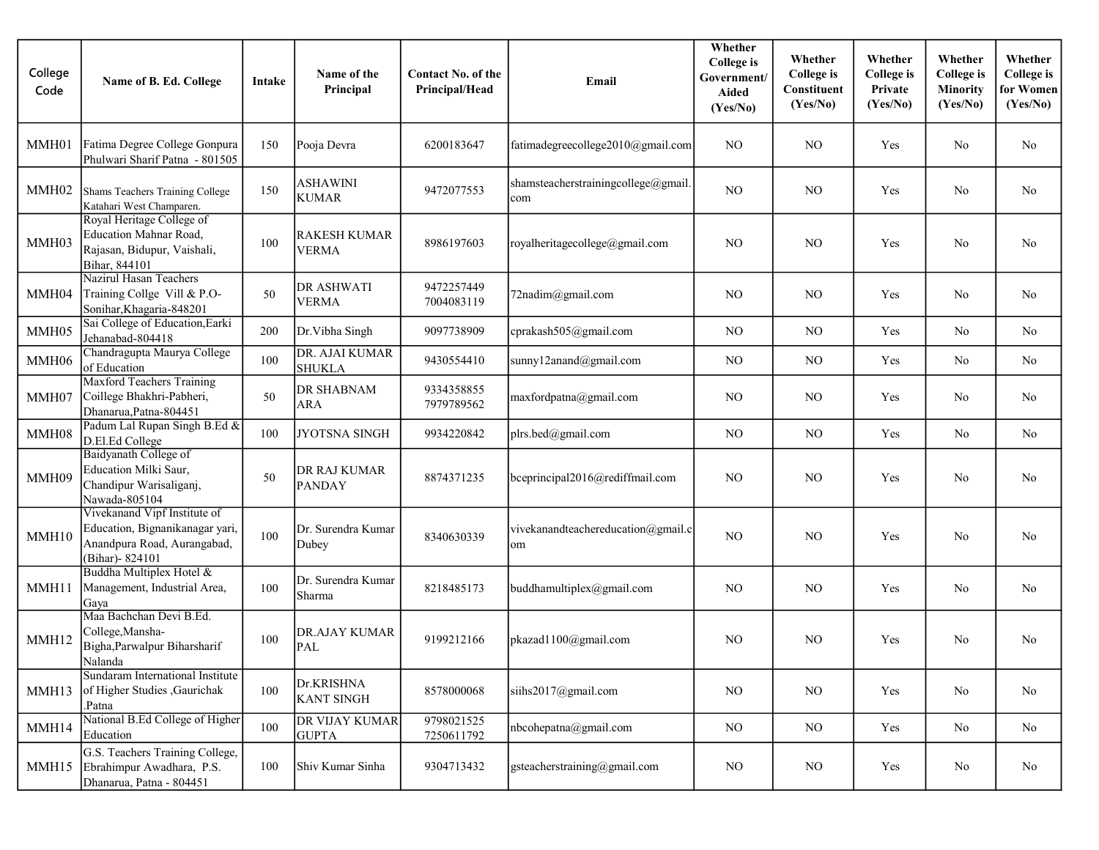| College<br>Code   | Name of B. Ed. College                                                                                             | Intake | Name of the<br>Principal          | <b>Contact No. of the</b><br>Principal/Head | Email                                      | Whether<br><b>College</b> is<br>Government/<br>Aided<br>(Yes/No) | Whether<br><b>College</b> is<br>Constituent<br>(Yes/No) | Whether<br><b>College</b> is<br>Private<br>(Yes/No) | Whether<br><b>College</b> is<br><b>Minority</b><br>(Yes/No) | Whether<br><b>College</b> is<br>for Women<br>(Yes/No) |
|-------------------|--------------------------------------------------------------------------------------------------------------------|--------|-----------------------------------|---------------------------------------------|--------------------------------------------|------------------------------------------------------------------|---------------------------------------------------------|-----------------------------------------------------|-------------------------------------------------------------|-------------------------------------------------------|
| MMH01             | Fatima Degree College Gonpura<br>Phulwari Sharif Patna - 801505                                                    | 150    | Pooja Devra                       | 6200183647                                  | fatimadegreecollege2010@gmail.com          | N <sub>O</sub>                                                   | N <sub>O</sub>                                          | Yes                                                 | No                                                          | No                                                    |
| MMH02             | Shams Teachers Training College<br>Katahari West Champaren.                                                        | 150    | <b>ASHAWINI</b><br><b>KUMAR</b>   | 9472077553                                  | shamsteacherstrainingcollege@gmail.<br>com | N <sub>O</sub>                                                   | N <sub>O</sub>                                          | Yes                                                 | No                                                          | No                                                    |
| MMH03             | Royal Heritage College of<br>Education Mahnar Road,<br>Rajasan, Bidupur, Vaishali,<br>Bihar, 844101                | 100    | RAKESH KUMAR<br><b>VERMA</b>      | 8986197603                                  | royalheritagecollege@gmail.com             | N <sub>O</sub>                                                   | N <sub>O</sub>                                          | Yes                                                 | N <sub>o</sub>                                              | No                                                    |
| MMH04             | <b>Nazirul Hasan Teachers</b><br>Training Collge Vill & P.O-<br>Sonihar, Khagaria-848201                           | 50     | <b>DR ASHWATI</b><br><b>VERMA</b> | 9472257449<br>7004083119                    | 72nadim@gmail.com                          | N <sub>O</sub>                                                   | N <sub>O</sub>                                          | Yes                                                 | No                                                          | No.                                                   |
| MMH05             | Sai College of Education, Earki<br>Jehanabad-804418                                                                | 200    | Dr. Vibha Singh                   | 9097738909                                  | cprakash505@gmail.com                      | NO                                                               | N <sub>O</sub>                                          | Yes                                                 | No                                                          | No                                                    |
| MMH06             | Chandragupta Maurya College<br>of Education                                                                        | 100    | DR. AJAI KUMAR<br><b>SHUKLA</b>   | 9430554410                                  | sunny12anand@gmail.com                     | N <sub>O</sub>                                                   | <b>NO</b>                                               | Yes                                                 | No                                                          | No                                                    |
| MMH07             | <b>Maxford Teachers Training</b><br>Coillege Bhakhri-Pabheri,<br>Dhanarua, Patna-804451                            | 50     | DR SHABNAM<br><b>ARA</b>          | 9334358855<br>7979789562                    | maxfordpatna@gmail.com                     | N <sub>O</sub>                                                   | N <sub>O</sub>                                          | Yes                                                 | No                                                          | No                                                    |
| MMH08             | Padum Lal Rupan Singh B.Ed &<br>D.El.Ed College                                                                    | 100    | <b>JYOTSNA SINGH</b>              | 9934220842                                  | plrs.bed@gmail.com                         | N <sub>O</sub>                                                   | N <sub>O</sub>                                          | Yes                                                 | No                                                          | No                                                    |
| MMH09             | Baidyanath College of<br>Education Milki Saur,<br>Chandipur Warisaliganj,<br>Nawada-805104                         | 50     | DR RAJ KUMAR<br><b>PANDAY</b>     | 8874371235                                  | bceprincipal2016@rediffmail.com            | N <sub>O</sub>                                                   | N <sub>O</sub>                                          | Yes                                                 | N <sub>o</sub>                                              | No                                                    |
| MMH10             | Vivekanand Vipf Institute of<br>Education, Bignanikanagar yari,<br>Anandpura Road, Aurangabad,<br>(Bihar) - 824101 | 100    | Dr. Surendra Kumar<br>Dubey       | 8340630339                                  | vivekanandteachereducation@gmail.c<br>om   | NO                                                               | N <sub>O</sub>                                          | Yes                                                 | N <sub>o</sub>                                              | No                                                    |
| MMH11             | Buddha Multiplex Hotel &<br>Management, Industrial Area,<br>Gaya                                                   | 100    | Dr. Surendra Kumar<br>Sharma      | 8218485173                                  | buddhamultiplex@gmail.com                  | N <sub>O</sub>                                                   | N <sub>O</sub>                                          | Yes                                                 | N <sub>o</sub>                                              | No                                                    |
| MMH <sub>12</sub> | Maa Bachchan Devi B.Ed.<br>College, Mansha-<br>Bigha, Parwalpur Biharsharif<br>Nalanda                             | 100    | <b>DR.AJAY KUMAR</b><br>PAL       | 9199212166                                  | pkazad1100@gmail.com                       | N <sub>O</sub>                                                   | NO.                                                     | Yes                                                 | No                                                          | N <sub>o</sub>                                        |
| MMH13             | Sundaram International Institute<br>of Higher Studies , Gaurichak<br>Patna                                         | 100    | Dr.KRISHNA<br><b>KANT SINGH</b>   | 8578000068                                  | siihs2017@gmail.com                        | NO                                                               | $_{\rm NO}$                                             | Yes                                                 | No                                                          | $\rm No$                                              |
| MMH14             | National B.Ed College of Higher<br>Education                                                                       | 100    | DR VIJAY KUMAR<br><b>GUPTA</b>    | 9798021525<br>7250611792                    | nbcohepatna@gmail.com                      | NO                                                               | N <sub>O</sub>                                          | Yes                                                 | No                                                          | No                                                    |
| MMH15             | G.S. Teachers Training College,<br>Ebrahimpur Awadhara, P.S.<br>Dhanarua, Patna - 804451                           | 100    | Shiv Kumar Sinha                  | 9304713432                                  | gsteacherstraining@gmail.com               | NO                                                               | NO                                                      | Yes                                                 | No                                                          | $\rm No$                                              |